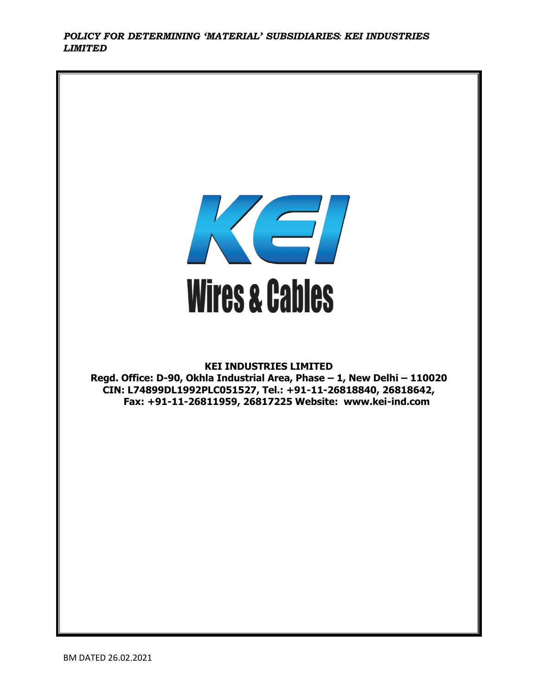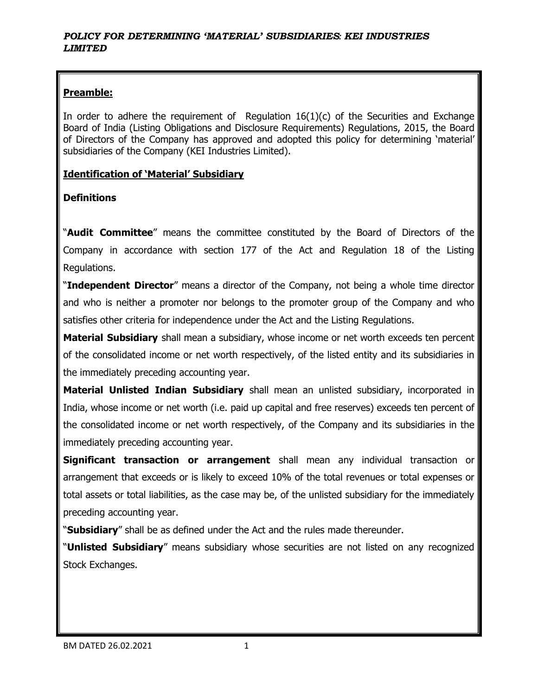# **Preamble:**

In order to adhere the requirement of Regulation  $16(1)(c)$  of the Securities and Exchange Board of India (Listing Obligations and Disclosure Requirements) Regulations, 2015, the Board of Directors of the Company has approved and adopted this policy for determining 'material' subsidiaries of the Company (KEI Industries Limited).

### **Identification of 'Material' Subsidiary**

## **Definitions**

"**Audit Committee**" means the committee constituted by the Board of Directors of the Company in accordance with section 177 of the Act and Regulation 18 of the Listing Regulations.

"**Independent Director**" means a director of the Company, not being a whole time director and who is neither a promoter nor belongs to the promoter group of the Company and who satisfies other criteria for independence under the Act and the Listing Regulations.

**Material Subsidiary** shall mean a subsidiary, whose income or net worth exceeds ten percent of the consolidated income or net worth respectively, of the listed entity and its subsidiaries in the immediately preceding accounting year.

**Material Unlisted Indian Subsidiary** shall mean an unlisted subsidiary, incorporated in India, whose income or net worth (i.e. paid up capital and free reserves) exceeds ten percent of the consolidated income or net worth respectively, of the Company and its subsidiaries in the immediately preceding accounting year.

**Significant transaction or arrangement** shall mean any individual transaction or arrangement that exceeds or is likely to exceed 10% of the total revenues or total expenses or total assets or total liabilities, as the case may be, of the unlisted subsidiary for the immediately preceding accounting year.

"**Subsidiary**" shall be as defined under the Act and the rules made thereunder.

"**Unlisted Subsidiary**" means subsidiary whose securities are not listed on any recognized Stock Exchanges.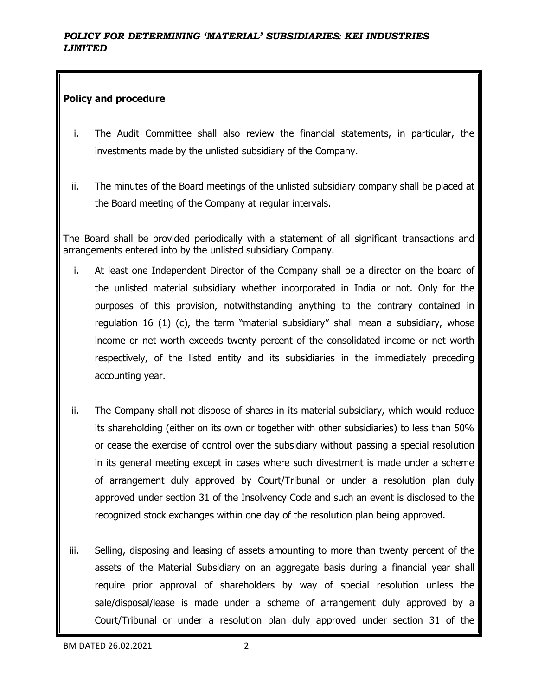### **Policy and procedure**

- i. The Audit Committee shall also review the financial statements, in particular, the investments made by the unlisted subsidiary of the Company.
- ii. The minutes of the Board meetings of the unlisted subsidiary company shall be placed at the Board meeting of the Company at regular intervals.

The Board shall be provided periodically with a statement of all significant transactions and arrangements entered into by the unlisted subsidiary Company.

- i. At least one Independent Director of the Company shall be a director on the board of the unlisted material subsidiary whether incorporated in India or not. Only for the purposes of this provision, notwithstanding anything to the contrary contained in regulation 16 (1) (c), the term "material subsidiary" shall mean a subsidiary, whose income or net worth exceeds twenty percent of the consolidated income or net worth respectively, of the listed entity and its subsidiaries in the immediately preceding accounting year.
- ii. The Company shall not dispose of shares in its material subsidiary, which would reduce its shareholding (either on its own or together with other subsidiaries) to less than 50% or cease the exercise of control over the subsidiary without passing a special resolution in its general meeting except in cases where such divestment is made under a scheme of arrangement duly approved by Court/Tribunal or under a resolution plan duly approved under section 31 of the Insolvency Code and such an event is disclosed to the recognized stock exchanges within one day of the resolution plan being approved.
- iii. Selling, disposing and leasing of assets amounting to more than twenty percent of the assets of the Material Subsidiary on an aggregate basis during a financial year shall require prior approval of shareholders by way of special resolution unless the sale/disposal/lease is made under a scheme of arrangement duly approved by a Court/Tribunal or under a resolution plan duly approved under section 31 of the